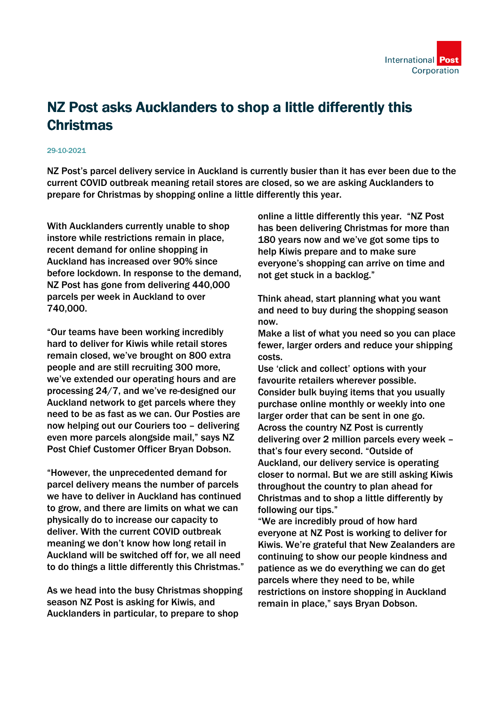

## NZ Post asks Aucklanders to shop a little differently this **Christmas**

## 29-10-2021

NZ Post's parcel delivery service in Auckland is currently busier than it has ever been due to the current COVID outbreak meaning retail stores are closed, so we are asking Aucklanders to prepare for Christmas by shopping online a little differently this year.

With Aucklanders currently unable to shop instore while restrictions remain in place, recent demand for online shopping in Auckland has increased over 90% since before lockdown. In response to the demand, NZ Post has gone from delivering 440,000 parcels per week in Auckland to over 740,000.

"Our teams have been working incredibly hard to deliver for Kiwis while retail stores remain closed, we've brought on 800 extra people and are still recruiting 300 more, we've extended our operating hours and are processing 24/7, and we've re-designed our Auckland network to get parcels where they need to be as fast as we can. Our Posties are now helping out our Couriers too – delivering even more parcels alongside mail," says NZ Post Chief Customer Officer Bryan Dobson.

"However, the unprecedented demand for parcel delivery means the number of parcels we have to deliver in Auckland has continued to grow, and there are limits on what we can physically do to increase our capacity to deliver. With the current COVID outbreak meaning we don't know how long retail in Auckland will be switched off for, we all need to do things a little differently this Christmas."

As we head into the busy Christmas shopping season NZ Post is asking for Kiwis, and Aucklanders in particular, to prepare to shop

online a little differently this year. "NZ Post has been delivering Christmas for more than 180 years now and we've got some tips to help Kiwis prepare and to make sure everyone's shopping can arrive on time and not get stuck in a backlog."

Think ahead, start planning what you want and need to buy during the shopping season now.

Make a list of what you need so you can place fewer, larger orders and reduce your shipping costs.

Use 'click and collect' options with your favourite retailers wherever possible. Consider bulk buying items that you usually purchase online monthly or weekly into one larger order that can be sent in one go. Across the country NZ Post is currently delivering over 2 million parcels every week – that's four every second. "Outside of Auckland, our delivery service is operating closer to normal. But we are still asking Kiwis throughout the country to plan ahead for Christmas and to shop a little differently by following our tips."

"We are incredibly proud of how hard everyone at NZ Post is working to deliver for Kiwis. We're grateful that New Zealanders are continuing to show our people kindness and patience as we do everything we can do get parcels where they need to be, while restrictions on instore shopping in Auckland remain in place," says Bryan Dobson.